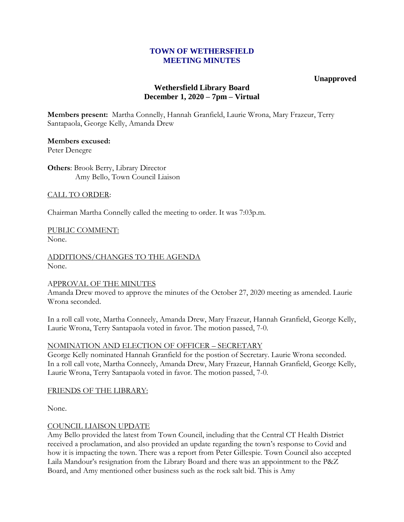## **TOWN OF WETHERSFIELD MEETING MINUTES**

## **Unapproved**

# **Wethersfield Library Board December 1, 2020 – 7pm – Virtual**

**Members present:** Martha Connelly, Hannah Granfield, Laurie Wrona, Mary Frazeur, Terry Santapaola, George Kelly, Amanda Drew

# **Members excused:**

Peter Denegre

**Others**: Brook Berry, Library Director Amy Bello, Town Council Liaison

## CALL TO ORDER:

Chairman Martha Connelly called the meeting to order. It was 7:03p.m.

PUBLIC COMMENT: None.

ADDITIONS/CHANGES TO THE AGENDA None.

#### APPROVAL OF THE MINUTES

Amanda Drew moved to approve the minutes of the October 27, 2020 meeting as amended. Laurie Wrona seconded.

In a roll call vote, Martha Conneely, Amanda Drew, Mary Frazeur, Hannah Granfield, George Kelly, Laurie Wrona, Terry Santapaola voted in favor. The motion passed, 7-0.

## NOMINATION AND ELECTION OF OFFICER – SECRETARY

George Kelly nominated Hannah Granfield for the postion of Secretary. Laurie Wrona seconded. In a roll call vote, Martha Conneely, Amanda Drew, Mary Frazeur, Hannah Granfield, George Kelly, Laurie Wrona, Terry Santapaola voted in favor. The motion passed, 7-0.

## FRIENDS OF THE LIBRARY:

None.

## COUNCIL LIAISON UPDATE

Amy Bello provided the latest from Town Council, including that the Central CT Health District received a proclamation, and also provided an update regarding the town's response to Covid and how it is impacting the town. There was a report from Peter Gillespie. Town Council also accepted Laila Mandour's resignation from the Library Board and there was an appointment to the P&Z Board, and Amy mentioned other business such as the rock salt bid. This is Amy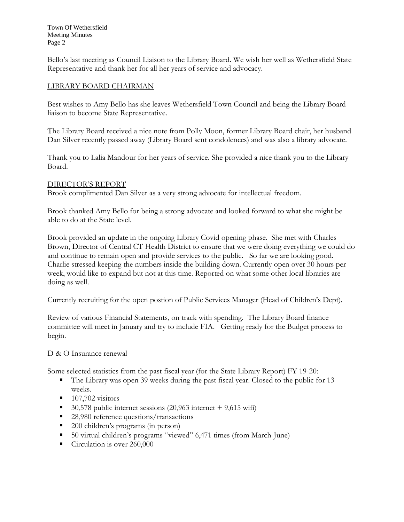Town Of Wethersfield Meeting Minutes Page 2

Bello's last meeting as Council Liaison to the Library Board. We wish her well as Wethersfield State Representative and thank her for all her years of service and advocacy.

## LIBRARY BOARD CHAIRMAN

Best wishes to Amy Bello has she leaves Wethersfield Town Council and being the Library Board liaison to become State Representative.

The Library Board received a nice note from Polly Moon, former Library Board chair, her husband Dan Silver recently passed away (Library Board sent condolences) and was also a library advocate.

Thank you to Lalia Mandour for her years of service. She provided a nice thank you to the Library Board.

#### DIRECTOR'S REPORT

Brook complimented Dan Silver as a very strong advocate for intellectual freedom.

Brook thanked Amy Bello for being a strong advocate and looked forward to what she might be able to do at the State level.

Brook provided an update in the ongoing Library Covid opening phase. She met with Charles Brown, Director of Central CT Health District to ensure that we were doing everything we could do and continue to remain open and provide services to the public. So far we are looking good. Charlie stressed keeping the numbers inside the building down. Currently open over 30 hours per week, would like to expand but not at this time. Reported on what some other local libraries are doing as well.

Currently recruiting for the open postion of Public Services Manager (Head of Children's Dept).

Review of various Financial Statements, on track with spending. The Library Board finance committee will meet in January and try to include FIA. Getting ready for the Budget process to begin.

D & O Insurance renewal

Some selected statistics from the past fiscal year (for the State Library Report) FY 19-20:

- The Library was open 39 weeks during the past fiscal year. Closed to the public for 13 weeks.
- $\blacksquare$  107,702 visitors
- 30,578 public internet sessions  $(20,963$  internet  $+9,615$  wifi)
- 28,980 reference questions/transactions
- 200 children's programs (in person)
- 50 virtual children's programs "viewed" 6,471 times (from March-June)
- Circulation is over 260,000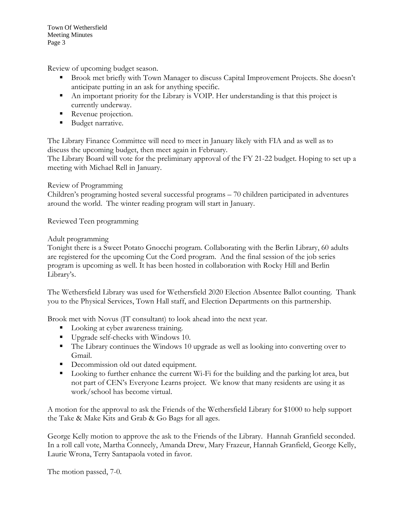Review of upcoming budget season.

- Brook met briefly with Town Manager to discuss Capital Improvement Projects. She doesn't anticipate putting in an ask for anything specific.
- An important priority for the Library is VOIP. Her understanding is that this project is currently underway.
- Revenue projection.
- **Budget narrative.**

The Library Finance Committee will need to meet in January likely with FIA and as well as to discuss the upcoming budget, then meet again in February.

The Library Board will vote for the preliminary approval of the FY 21-22 budget. Hoping to set up a meeting with Michael Rell in January.

Review of Programming

Children's programing hosted several successful programs – 70 children participated in adventures around the world. The winter reading program will start in January.

Reviewed Teen programming

Adult programming

Tonight there is a Sweet Potato Gnocchi program. Collaborating with the Berlin Library, 60 adults are registered for the upcoming Cut the Cord program. And the final session of the job series program is upcoming as well. It has been hosted in collaboration with Rocky Hill and Berlin Library's.

The Wethersfield Library was used for Wethersfield 2020 Election Absentee Ballot counting. Thank you to the Physical Services, Town Hall staff, and Election Departments on this partnership.

Brook met with Novus (IT consultant) to look ahead into the next year.

- **Looking at cyber awareness training.**
- Upgrade self-checks with Windows 10.
- The Library continues the Windows 10 upgrade as well as looking into converting over to Gmail.
- Decommission old out dated equipment.
- **Looking to further enhance the current Wi-Fi for the building and the parking lot area, but** not part of CEN's Everyone Learns project. We know that many residents are using it as work/school has become virtual.

A motion for the approval to ask the Friends of the Wethersfield Library for \$1000 to help support the Take & Make Kits and Grab & Go Bags for all ages.

George Kelly motion to approve the ask to the Friends of the Library. Hannah Granfield seconded. In a roll call vote, Martha Conneely, Amanda Drew, Mary Frazeur, Hannah Granfield, George Kelly, Laurie Wrona, Terry Santapaola voted in favor.

The motion passed, 7-0.